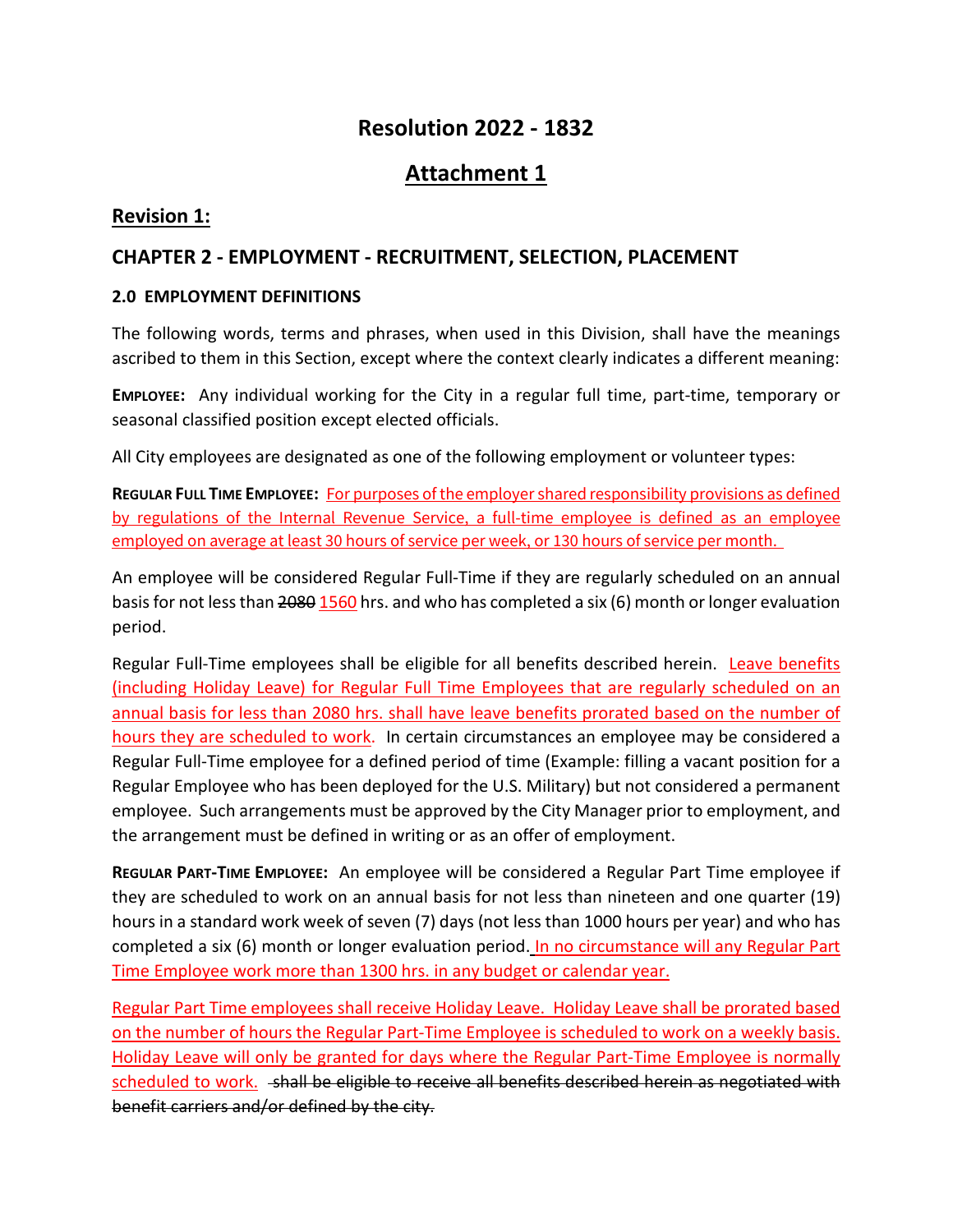# **Resolution 2022 - 1832**

# **Attachment 1**

# **Revision 1:**

# **CHAPTER 2 - EMPLOYMENT - RECRUITMENT, SELECTION, PLACEMENT**

#### **2.0 EMPLOYMENT DEFINITIONS**

The following words, terms and phrases, when used in this Division, shall have the meanings ascribed to them in this Section, except where the context clearly indicates a different meaning:

**EMPLOYEE:** Any individual working for the City in a regular full time, part-time, temporary or seasonal classified position except elected officials.

All City employees are designated as one of the following employment or volunteer types:

**REGULAR FULL TIME EMPLOYEE:** For purposes of the employer shared responsibility provisions as defined by regulations of the Internal Revenue Service, a full-time employee is defined as an employee employed on average at least 30 hours of service per week, or 130 hours of service per month.

An employee will be considered Regular Full-Time if they are regularly scheduled on an annual basis for not less than 2080 1560 hrs. and who has completed a six (6) month or longer evaluation period.

Regular Full-Time employees shall be eligible for all benefits described herein. Leave benefits (including Holiday Leave) for Regular Full Time Employees that are regularly scheduled on an annual basis for less than 2080 hrs. shall have leave benefits prorated based on the number of hours they are scheduled to work. In certain circumstances an employee may be considered a Regular Full-Time employee for a defined period of time (Example: filling a vacant position for a Regular Employee who has been deployed for the U.S. Military) but not considered a permanent employee. Such arrangements must be approved by the City Manager prior to employment, and the arrangement must be defined in writing or as an offer of employment.

**REGULAR PART-TIME EMPLOYEE:** An employee will be considered a Regular Part Time employee if they are scheduled to work on an annual basis for not less than nineteen and one quarter (19) hours in a standard work week of seven (7) days (not less than 1000 hours per year) and who has completed a six (6) month or longer evaluation period. In no circumstance will any Regular Part Time Employee work more than 1300 hrs. in any budget or calendar year.

Regular Part Time employees shall receive Holiday Leave. Holiday Leave shall be prorated based on the number of hours the Regular Part-Time Employee is scheduled to work on a weekly basis. Holiday Leave will only be granted for days where the Regular Part-Time Employee is normally scheduled to work. - shall be eligible to receive all benefits described herein as negotiated with benefit carriers and/or defined by the city.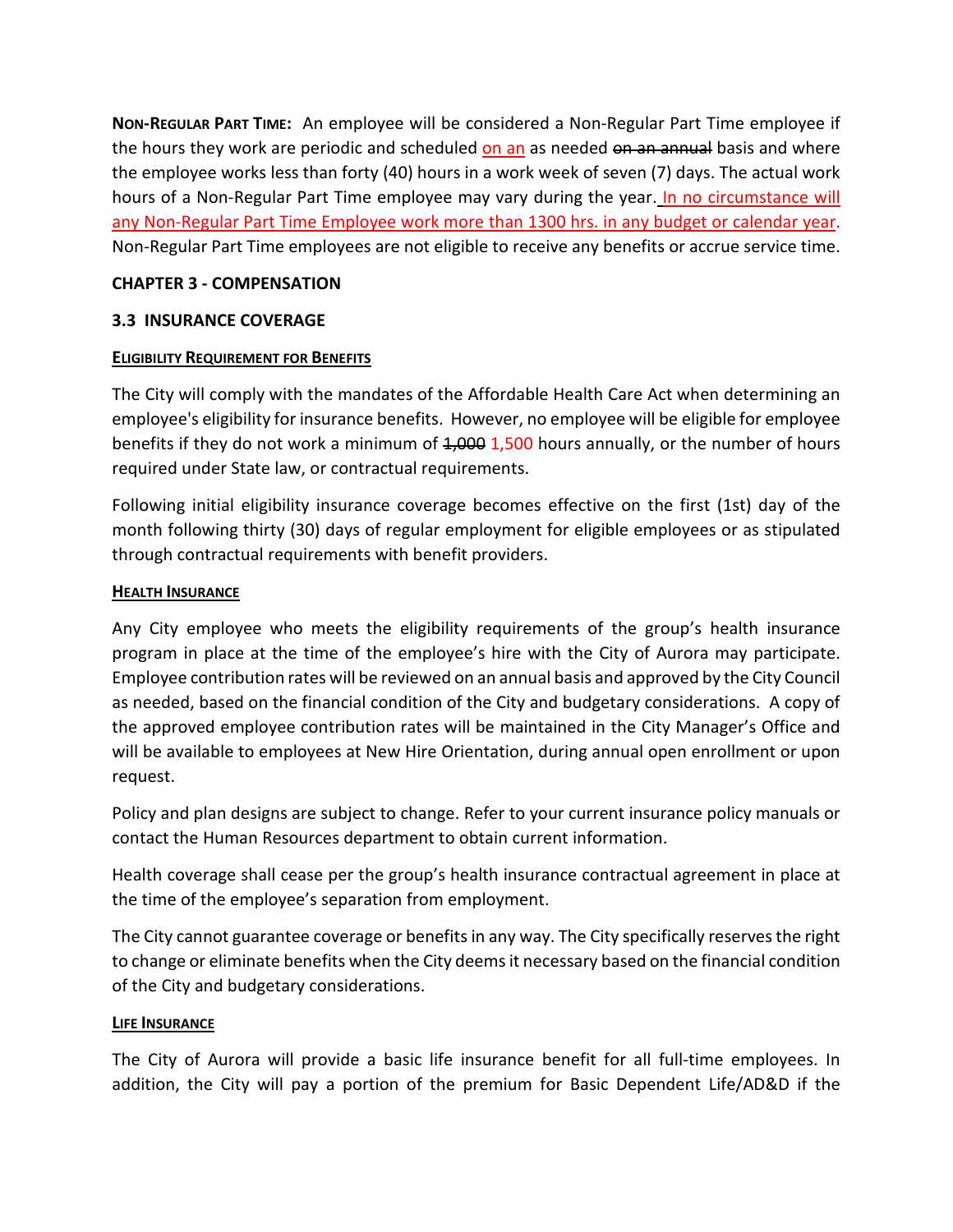**NON-REGULAR PART TIME:** An employee will be considered a Non-Regular Part Time employee if the hours they work are periodic and scheduled on an as needed on an annual basis and where the employee works less than forty (40) hours in a work week of seven (7) days. The actual work hours of a Non-Regular Part Time employee may vary during the year. In no circumstance will any Non-Regular Part Time Employee work more than 1300 hrs. in any budget or calendar year. Non-Regular Part Time employees are not eligible to receive any benefits or accrue service time.

## **CHAPTER 3 - COMPENSATION**

## **3.3 INSURANCE COVERAGE**

#### **ELIGIBILITY REQUIREMENT FOR BENEFITS**

The City will comply with the mandates of the Affordable Health Care Act when determining an employee's eligibility for insurance benefits. However, no employee will be eligible for employee benefits if they do not work a minimum of  $4,000$  1,500 hours annually, or the number of hours required under State law, or contractual requirements.

Following initial eligibility insurance coverage becomes effective on the first (1st) day of the month following thirty (30) days of regular employment for eligible employees or as stipulated through contractual requirements with benefit providers.

#### **HEALTH INSURANCE**

Any City employee who meets the eligibility requirements of the group's health insurance program in place at the time of the employee's hire with the City of Aurora may participate. Employee contribution rates will be reviewed on an annual basis and approved by the City Council as needed, based on the financial condition of the City and budgetary considerations. A copy of the approved employee contribution rates will be maintained in the City Manager's Office and will be available to employees at New Hire Orientation, during annual open enrollment or upon request.

Policy and plan designs are subject to change. Refer to your current insurance policy manuals or contact the Human Resources department to obtain current information.

Health coverage shall cease per the group's health insurance contractual agreement in place at the time of the employee's separation from employment.

The City cannot guarantee coverage or benefits in any way. The City specifically reserves the right to change or eliminate benefits when the City deems it necessary based on the financial condition of the City and budgetary considerations.

#### **LIFE INSURANCE**

The City of Aurora will provide a basic life insurance benefit for all full-time employees. In addition, the City will pay a portion of the premium for Basic Dependent Life/AD&D if the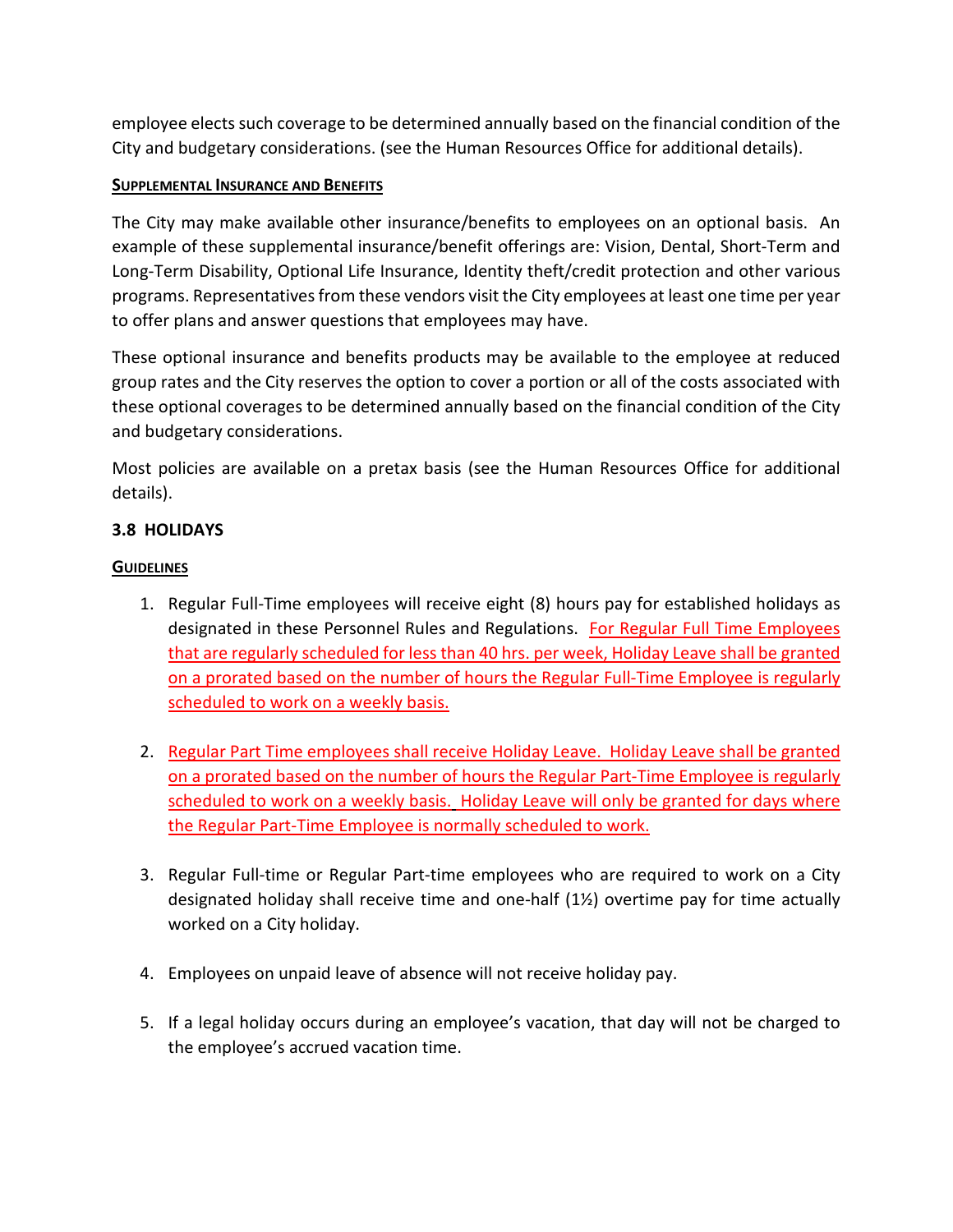employee elects such coverage to be determined annually based on the financial condition of the City and budgetary considerations. (see the Human Resources Office for additional details).

## **SUPPLEMENTAL INSURANCE AND BENEFITS**

The City may make available other insurance/benefits to employees on an optional basis. An example of these supplemental insurance/benefit offerings are: Vision, Dental, Short-Term and Long-Term Disability, Optional Life Insurance, Identity theft/credit protection and other various programs. Representatives from these vendors visit the City employees at least one time per year to offer plans and answer questions that employees may have.

These optional insurance and benefits products may be available to the employee at reduced group rates and the City reserves the option to cover a portion or all of the costs associated with these optional coverages to be determined annually based on the financial condition of the City and budgetary considerations.

Most policies are available on a pretax basis (see the Human Resources Office for additional details).

## **3.8 HOLIDAYS**

#### **GUIDELINES**

- 1. Regular Full-Time employees will receive eight (8) hours pay for established holidays as designated in these Personnel Rules and Regulations. For Regular Full Time Employees that are regularly scheduled for less than 40 hrs. per week, Holiday Leave shall be granted on a prorated based on the number of hours the Regular Full-Time Employee is regularly scheduled to work on a weekly basis.
- 2. Regular Part Time employees shall receive Holiday Leave. Holiday Leave shall be granted on a prorated based on the number of hours the Regular Part-Time Employee is regularly scheduled to work on a weekly basis. Holiday Leave will only be granted for days where the Regular Part-Time Employee is normally scheduled to work.
- 3. Regular Full-time or Regular Part-time employees who are required to work on a City designated holiday shall receive time and one-half  $(1/2)$  overtime pay for time actually worked on a City holiday.
- 4. Employees on unpaid leave of absence will not receive holiday pay.
- 5. If a legal holiday occurs during an employee's vacation, that day will not be charged to the employee's accrued vacation time.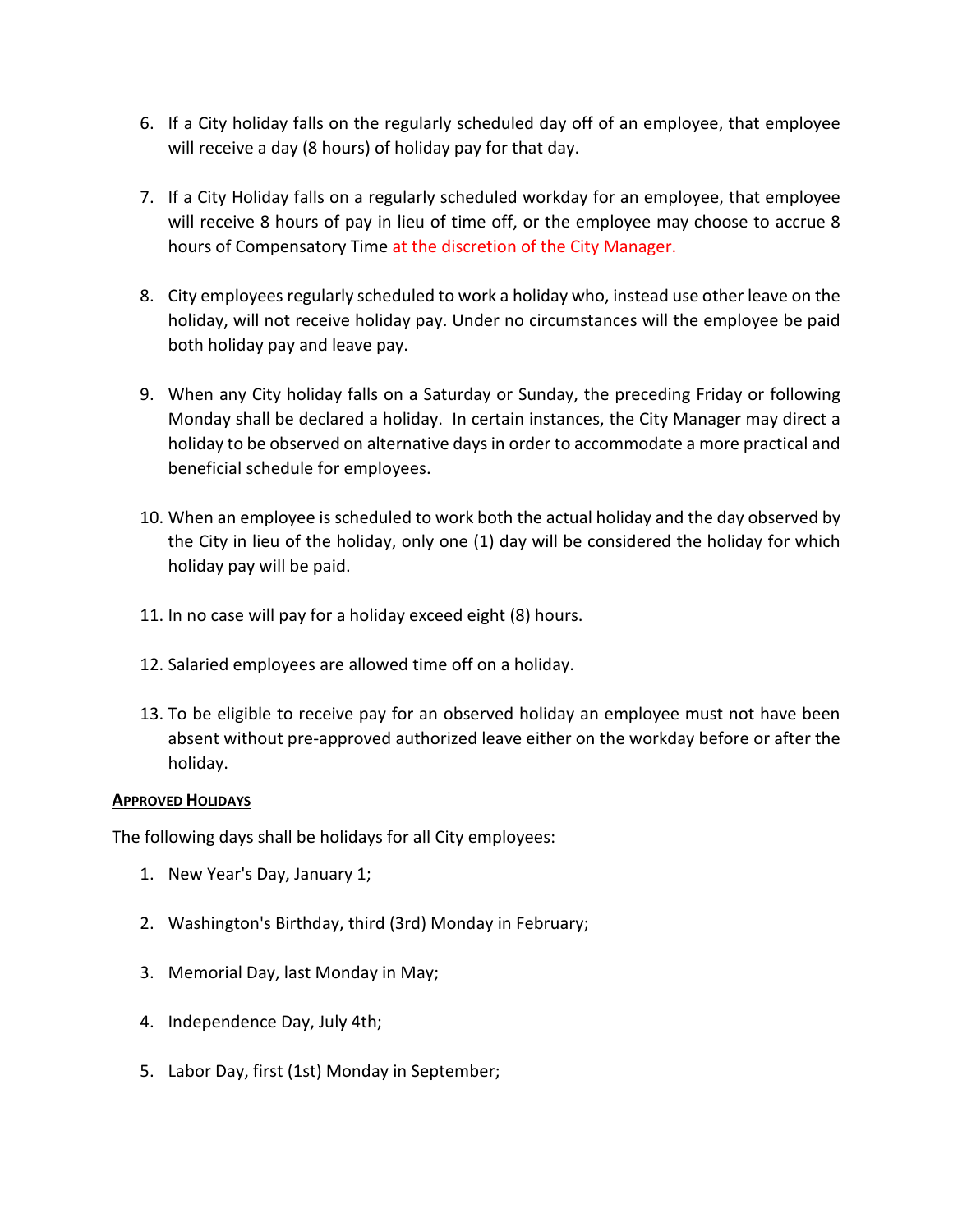- 6. If a City holiday falls on the regularly scheduled day off of an employee, that employee will receive a day (8 hours) of holiday pay for that day.
- 7. If a City Holiday falls on a regularly scheduled workday for an employee, that employee will receive 8 hours of pay in lieu of time off, or the employee may choose to accrue 8 hours of Compensatory Time at the discretion of the City Manager.
- 8. City employees regularly scheduled to work a holiday who, instead use other leave on the holiday, will not receive holiday pay. Under no circumstances will the employee be paid both holiday pay and leave pay.
- 9. When any City holiday falls on a Saturday or Sunday, the preceding Friday or following Monday shall be declared a holiday. In certain instances, the City Manager may direct a holiday to be observed on alternative days in order to accommodate a more practical and beneficial schedule for employees.
- 10. When an employee is scheduled to work both the actual holiday and the day observed by the City in lieu of the holiday, only one (1) day will be considered the holiday for which holiday pay will be paid.
- 11. In no case will pay for a holiday exceed eight (8) hours.
- 12. Salaried employees are allowed time off on a holiday.
- 13. To be eligible to receive pay for an observed holiday an employee must not have been absent without pre-approved authorized leave either on the workday before or after the holiday.

#### **APPROVED HOLIDAYS**

The following days shall be holidays for all City employees:

- 1. New Year's Day, January 1;
- 2. Washington's Birthday, third (3rd) Monday in February;
- 3. Memorial Day, last Monday in May;
- 4. Independence Day, July 4th;
- 5. Labor Day, first (1st) Monday in September;